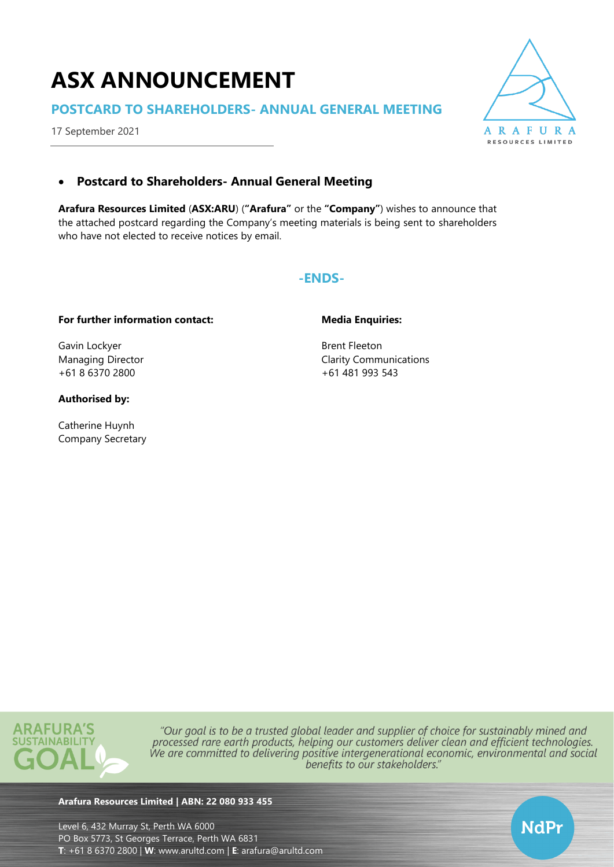# **ASX ANNOUNCEMENT**

## **POSTCARD TO SHAREHOLDERS- ANNUAL GENERAL MEETING**

17 September 2021



NdPr

# • **Postcard to Shareholders- Annual General Meeting**

**Arafura Resources Limited** (**ASX:ARU**) (**"Arafura"** or the **"Company"**) wishes to announce that the attached postcard regarding the Company's meeting materials is being sent to shareholders who have not elected to receive notices by email.

## **-ENDS-**

## **For further information contact:**

Gavin Lockyer Managing Director +61 8 6370 2800

## **Authorised by:**

Catherine Huynh Company Secretary

## **Media Enquiries:**

Brent Fleeton Clarity Communications +61 481 993 543



"Our goal is to be a trusted global leader and supplier of choice for sustainably mined and processed rare earth products, helping our customers deliver clean and efficient technologies. We are committed to delivering positive intergenerational economic, environmental and social benefits to our stakeholders."

## **Arafura Resources Limited | ABN: 22 080 933 455**

Level 6, 432 Murray St, Perth WA 6000 PO Box 5773, St Georges Terrace, Perth WA 6831 **T**: +61 8 6370 2800 | **W**: [www.arultd.com](http://www.arultd.com/) | **E**: [arafura@arultd.com](mailto:arafura@arultd.com)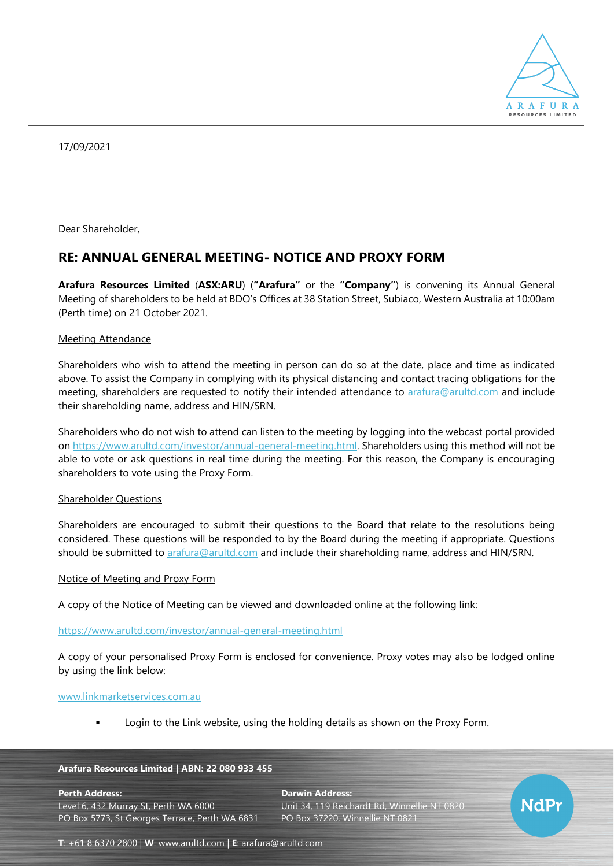

17/09/2021

Dear Shareholder,

# **RE: ANNUAL GENERAL MEETING- NOTICE AND PROXY FORM**

**Arafura Resources Limited** (**ASX:ARU**) (**"Arafura"** or the **"Company"**) is convening its Annual General Meeting of shareholders to be held at BDO's Offices at 38 Station Street, Subiaco, Western Australia at 10:00am (Perth time) on 21 October 2021.

## Meeting Attendance

Shareholders who wish to attend the meeting in person can do so at the date, place and time as indicated above. To assist the Company in complying with its physical distancing and contact tracing obligations for the meeting, shareholders are requested to notify their intended attendance to [arafura@arultd.com](mailto:arafura@arultd.com) and include their shareholding name, address and HIN/SRN.

Shareholders who do not wish to attend can listen to the meeting by logging into the webcast portal provided on [https://www.arultd.com/investor/annual-general-meeting.html.](https://www.arultd.com/investor/annual-general-meeting.html) Shareholders using this method will not be able to vote or ask questions in real time during the meeting. For this reason, the Company is encouraging shareholders to vote using the Proxy Form.

## Shareholder Questions

Shareholders are encouraged to submit their questions to the Board that relate to the resolutions being considered. These questions will be responded to by the Board during the meeting if appropriate. Questions should be submitted to [arafura@arultd.com](mailto:arafura@arultd.com) and include their shareholding name, address and HIN/SRN.

#### Notice of Meeting and Proxy Form

A copy of the Notice of Meeting can be viewed and downloaded online at the following link:

## <https://www.arultd.com/investor/annual-general-meeting.html>

A copy of your personalised Proxy Form is enclosed for convenience. Proxy votes may also be lodged online by using the link below:

#### [www.linkmarketservices.com.au](http://www.linkmarketservices.com.au/)

Login to the Link website, using the holding details as shown on the Proxy Form.

#### **Arafura Resources Limited | ABN: 22 080 933 455**

**Perth Address: Darwin Address:** Level 6, 432 Murray St, Perth WA 6000 Unit 34, 119 Reichardt Rd, Winnellie NT 0820 PO Box 5773, St Georges Terrace, Perth WA 6831 PO Box 37220, Winnellie NT 0821



**T**: +61 8 6370 2800 | **W**: [www.arultd.com](http://www.arultd.com/) | **E**: [arafura@arultd.com](mailto:arafura@arultd.com)